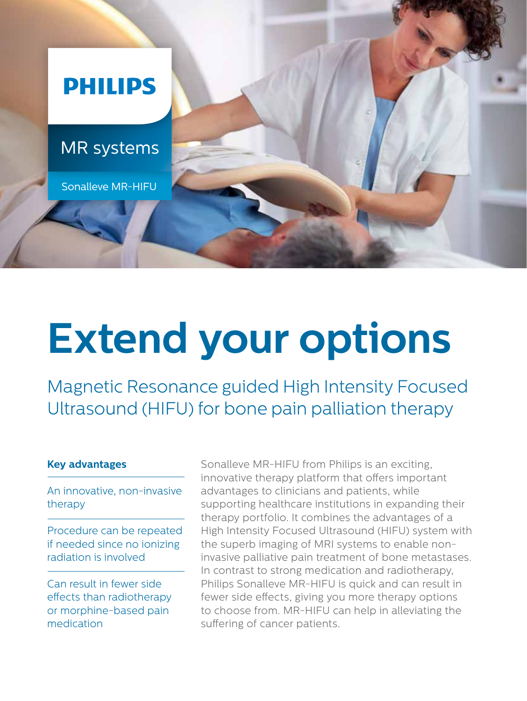

# **Extend your options**

Magnetic Resonance guided High Intensity Focused Ultrasound (HIFU) for bone pain palliation therapy

### **Key advantages**

An innovative, non-invasive therapy

Procedure can be repeated if needed since no ionizing radiation is involved

Can result in fewer side effects than radiotherapy or morphine-based pain medication

Sonalleve MR-HIFU from Philips is an exciting, innovative therapy platform that offers important advantages to clinicians and patients, while supporting healthcare institutions in expanding their therapy portfolio. It combines the advantages of a High Intensity Focused Ultrasound (HIFU) system with the superb imaging of MRI systems to enable noninvasive palliative pain treatment of bone metastases. In contrast to strong medication and radiotherapy, Philips Sonalleve MR-HIFU is quick and can result in fewer side effects, giving you more therapy options to choose from. MR-HIFU can help in alleviating the suffering of cancer patients.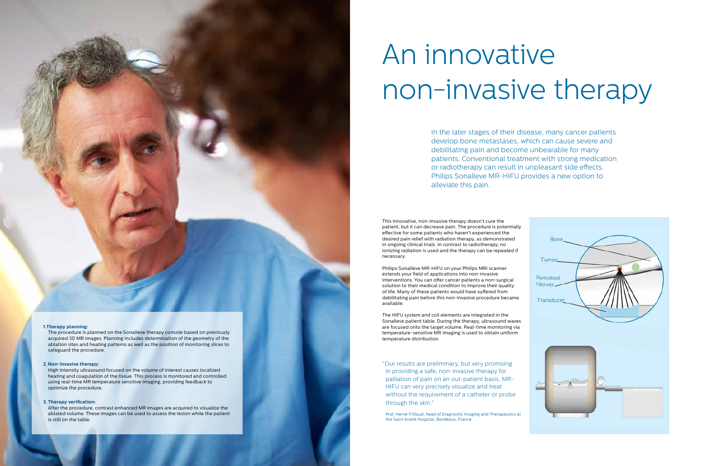#### **1.Therapy planning:**

The procedure is planned on the Sonalleve therapy console based on previously acquired 3D MR images. Planning includes determination of the geometry of the ablation sites and heating patterns as well as the position of monitoring slices to safeguard the procedure.

#### **2. Non-invasive therapy:**

High intensity ultrasound focused on the volume of interest causes localized heating and coagulation of the tissue. This process is monitored and controlled using real-time MR temperature sensitive imaging, providing feedback to optimize the procedure.

#### **3. Therapy verification:**

After the procedure, contrast enhanced MR images are acquired to visualize the ablated volume. These images can be used to assess the lesion while the patient is still on the table.

## An innovative non-invasive therapy

In the later stages of their disease, many cancer patients develop bone metastases, which can cause severe and debilitating pain and become unbearable for many patients. Conventional treatment with strong medication or radiotherapy can result in unpleasant side effects. Philips Sonalleve MR-HIFU provides a new option to alleviate this pain.

This innovative, non-invasive therapy doesn't cure the patient, but it can decrease pain. The procedure is potentially effective for some patients who haven't experienced the desired pain relief with radiation therapy, as demonstrated in ongoing clinical trials. In contrast to radiotherapy, no ionizing radiation is used and the therapy can be repeated if necessary.

Philips Sonalleve MR-HIFU on your Philips MRI scanner extends your field of applications into non-invasive interventions. You can offer cancer patients a non-surgical solution to their medical condition to improve their quality of life. Many of these patients would have suffered from debilitating pain before this non-invasive procedure became available.

The HIFU system and coil elements are integrated in the Sonalleve patient table. During the therapy, ultrasound waves are focused onto the target volume. Real-time monitoring via temperature-sensitive MR imaging is used to obtain uniform temperature distribution.

"Our results are preliminary, but very promising in providing a safe, non-invasive therapy for palliation of pain on an out-patient basis. MR-HIFU can very precisely visualize and treat without the requirement of a catheter or probe through the skin."

Prof. Hervé Trillaud, head of Diagnostic Imaging and Therapeutics at the Saint André Hospital, Bordeaux, France